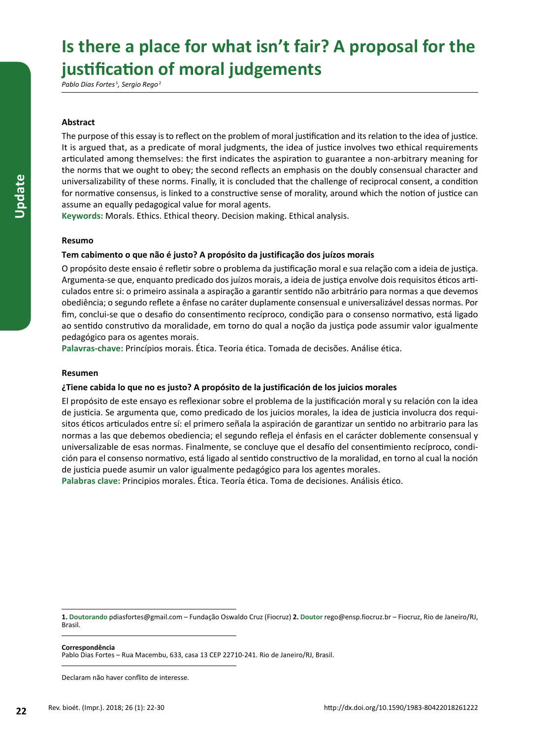# Is there a place for what isn't fair? A proposal for the **justification of moral judgements**

*Pablo Dias Fortes*<sup>1</sup> *, Sergio Rego*<sup>2</sup>

## **Abstract**

The purpose of this essay is to reflect on the problem of moral justification and its relation to the idea of justice. It is argued that, as a predicate of moral judgments, the idea of justice involves two ethical requirements articulated among themselves: the first indicates the aspiration to guarantee a non-arbitrary meaning for the norms that we ought to obey; the second reflects an emphasis on the doubly consensual character and universalizability of these norms. Finally, it is concluded that the challenge of reciprocal consent, a condition for normative consensus, is linked to a constructive sense of morality, around which the notion of justice can assume an equally pedagogical value for moral agents.

**Keywords:** Morals. Ethics. Ethical theory. Decision making. Ethical analysis.

## **Resumo**

## **Tem cabimento o que não é justo? A propósito da justificação dos juízos morais**

O propósito deste ensaio é refletir sobre o problema da justificação moral e sua relação com a ideia de justiça. Argumenta-se que, enquanto predicado dos juízos morais, a ideia de justiça envolve dois requisitos éticos articulados entre si: o primeiro assinala a aspiração a garantir sentido não arbitrário para normas a que devemos obediência; o segundo reflete a ênfase no caráter duplamente consensual e universalizável dessas normas. Por fim, conclui-se que o desafio do consentimento recíproco, condição para o consenso normativo, está ligado ao sentido construtivo da moralidade, em torno do qual a noção da justiça pode assumir valor igualmente pedagógico para os agentes morais.

**Palavras-chave:** Princípios morais. Ética. Teoria ética. Tomada de decisões. Análise ética.

## **Resumen**

## **¿Tiene cabida lo que no es justo? A propósito de la justificación de los juicios morales**

El propósito de este ensayo es reflexionar sobre el problema de la justificación moral y su relación con la idea de justicia. Se argumenta que, como predicado de los juicios morales, la idea de justicia involucra dos requisitos éticos articulados entre sí: el primero señala la aspiración de garantizar un sentido no arbitrario para las normas a las que debemos obediencia; el segundo refleja el énfasis en el carácter doblemente consensual y universalizable de esas normas. Finalmente, se concluye que el desafío del consentimiento recíproco, condición para el consenso normativo, está ligado al sentido constructivo de la moralidad, en torno al cual la noción de justicia puede asumir un valor igualmente pedagógico para los agentes morales.

**Palabras clave:** Principios morales. Ética. Teoría ética. Toma de decisiones. Análisis ético.

**1. Doutorando** pdiasfortes@gmail.com – Fundação Oswaldo Cruz (Fiocruz) **2. Doutor** rego@ensp.fiocruz.br – Fiocruz, Rio de Janeiro/RJ, Brasil.

**Correspondência**

Pablo Dias Fortes – Rua Macembu, 633, casa 13 CEP 22710-241. Rio de Janeiro/RJ, Brasil.

Declaram não haver conflito de interesse.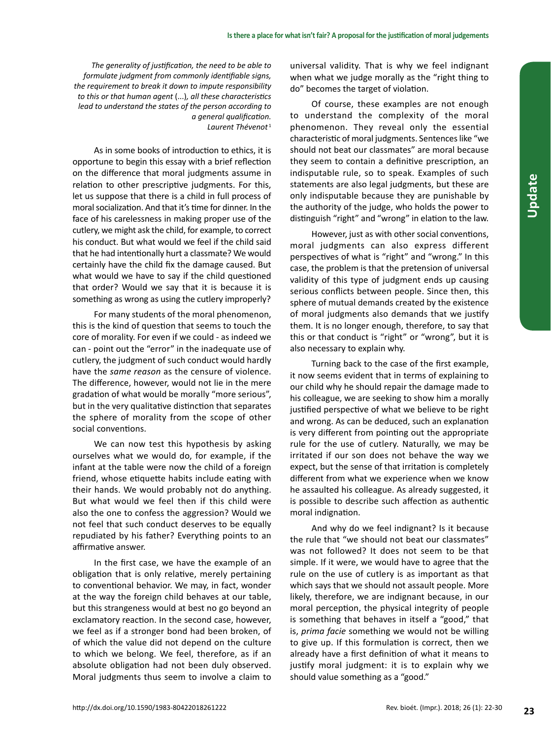*The generality of justification, the need to be able to formulate judgment from commonly identifiable signs, the requirement to break it down to impute responsibility to this or that human agent* (...)*, all these characteristics lead to understand the states of the person according to a general qualification. Laurent Thévenot* <sup>1</sup>

As in some books of introduction to ethics, it is opportune to begin this essay with a brief reflection on the difference that moral judgments assume in relation to other prescriptive judgments. For this, let us suppose that there is a child in full process of moral socialization. And that it's time for dinner. In the face of his carelessness in making proper use of the cutlery, we might ask the child, for example, to correct his conduct. But what would we feel if the child said that he had intentionally hurt a classmate? We would certainly have the child fix the damage caused. But what would we have to say if the child questioned that order? Would we say that it is because it is something as wrong as using the cutlery improperly?

For many students of the moral phenomenon, this is the kind of question that seems to touch the core of morality. For even if we could - as indeed we can - point out the "error" in the inadequate use of cutlery, the judgment of such conduct would hardly have the *same reason* as the censure of violence. The difference, however, would not lie in the mere gradation of what would be morally "more serious", but in the very qualitative distinction that separates the sphere of morality from the scope of other social conventions.

We can now test this hypothesis by asking ourselves what we would do, for example, if the infant at the table were now the child of a foreign friend, whose etiquette habits include eating with their hands. We would probably not do anything. But what would we feel then if this child were also the one to confess the aggression? Would we not feel that such conduct deserves to be equally repudiated by his father? Everything points to an affirmative answer.

In the first case, we have the example of an obligation that is only relative, merely pertaining to conventional behavior. We may, in fact, wonder at the way the foreign child behaves at our table, but this strangeness would at best no go beyond an exclamatory reaction. In the second case, however, we feel as if a stronger bond had been broken, of of which the value did not depend on the culture to which we belong. We feel, therefore, as if an absolute obligation had not been duly observed. Moral judgments thus seem to involve a claim to

universal validity. That is why we feel indignant when what we judge morally as the "right thing to do" becomes the target of violation.

Of course, these examples are not enough to understand the complexity of the moral phenomenon. They reveal only the essential characteristic of moral judgments. Sentences like "we should not beat our classmates" are moral because they seem to contain a definitive prescription, an indisputable rule, so to speak. Examples of such statements are also legal judgments, but these are only indisputable because they are punishable by the authority of the judge, who holds the power to distinguish "right" and "wrong" in elation to the law.

However, just as with other social conventions, moral judgments can also express different perspectives of what is "right" and "wrong." In this case, the problem is that the pretension of universal validity of this type of judgment ends up causing serious conflicts between people. Since then, this sphere of mutual demands created by the existence of moral judgments also demands that we justify them. It is no longer enough, therefore, to say that this or that conduct is "right" or "wrong", but it is also necessary to explain why.

Turning back to the case of the first example, it now seems evident that in terms of explaining to our child why he should repair the damage made to his colleague, we are seeking to show him a morally justified perspective of what we believe to be right and wrong. As can be deduced, such an explanation is very different from pointing out the appropriate rule for the use of cutlery. Naturally, we may be irritated if our son does not behave the way we expect, but the sense of that irritation is completely different from what we experience when we know he assaulted his colleague. As already suggested, it is possible to describe such affection as authentic moral indignation.

And why do we feel indignant? Is it because the rule that "we should not beat our classmates" was not followed? It does not seem to be that simple. If it were, we would have to agree that the rule on the use of cutlery is as important as that which says that we should not assault people. More likely, therefore, we are indignant because, in our moral perception, the physical integrity of people is something that behaves in itself a "good," that is, *prima facie* something we would not be willing to give up. If this formulation is correct, then we already have a first definition of what it means to justify moral judgment: it is to explain why we should value something as a "good."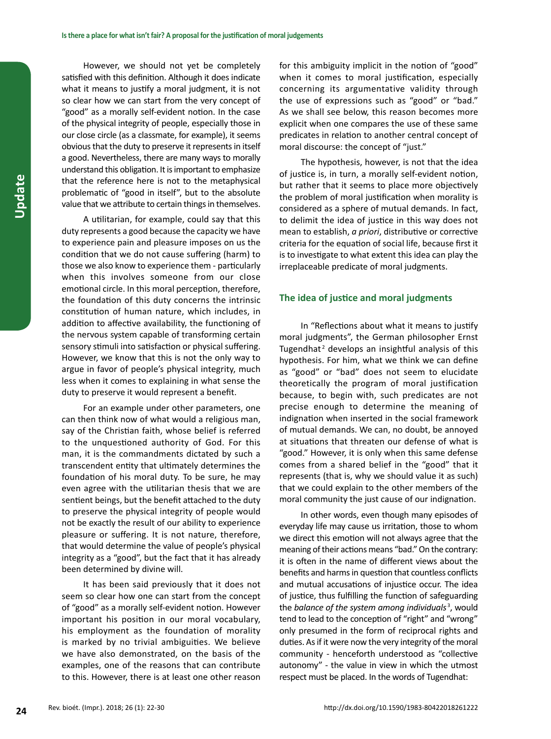However, we should not yet be completely satisfied with this definition. Although it does indicate what it means to justify a moral judgment, it is not so clear how we can start from the very concept of "good" as a morally self-evident notion. In the case of the physical integrity of people, especially those in our close circle (as a classmate, for example), it seems obvious that the duty to preserve it represents in itself a good. Nevertheless, there are many ways to morally understand this obligation. It is important to emphasize that the reference here is not to the metaphysical problematic of "good in itself", but to the absolute value that we attribute to certain things in themselves.

A utilitarian, for example, could say that this duty represents a good because the capacity we have to experience pain and pleasure imposes on us the condition that we do not cause suffering (harm) to those we also know to experience them - particularly when this involves someone from our close emotional circle. In this moral perception, therefore, the foundation of this duty concerns the intrinsic constitution of human nature, which includes, in addition to affective availability, the functioning of the nervous system capable of transforming certain sensory stimuli into satisfaction or physical suffering. However, we know that this is not the only way to argue in favor of people's physical integrity, much less when it comes to explaining in what sense the duty to preserve it would represent a benefit.

For an example under other parameters, one can then think now of what would a religious man, say of the Christian faith, whose belief is referred to the unquestioned authority of God. For this man, it is the commandments dictated by such a transcendent entity that ultimately determines the foundation of his moral duty. To be sure, he may even agree with the utilitarian thesis that we are sentient beings, but the benefit attached to the duty to preserve the physical integrity of people would not be exactly the result of our ability to experience pleasure or suffering. It is not nature, therefore, that would determine the value of people's physical integrity as a "good", but the fact that it has already been determined by divine will.

It has been said previously that it does not seem so clear how one can start from the concept of "good" as a morally self-evident notion. However important his position in our moral vocabulary, his employment as the foundation of morality is marked by no trivial ambiguities. We believe we have also demonstrated, on the basis of the examples, one of the reasons that can contribute to this. However, there is at least one other reason

for this ambiguity implicit in the notion of "good" when it comes to moral justification, especially concerning its argumentative validity through the use of expressions such as "good" or "bad." As we shall see below, this reason becomes more explicit when one compares the use of these same predicates in relation to another central concept of moral discourse: the concept of "just."

The hypothesis, however, is not that the idea of justice is, in turn, a morally self-evident notion, but rather that it seems to place more objectively the problem of moral justification when morality is considered as a sphere of mutual demands. In fact, to delimit the idea of justice in this way does not mean to establish, *a priori*, distributive or corrective criteria for the equation of social life, because first it is to investigate to what extent this idea can play the irreplaceable predicate of moral judgments.

### **The idea of justice and moral judgments**

In "Reflections about what it means to justify moral judgments", the German philosopher Ernst Tugendhat<sup>2</sup> develops an insightful analysis of this hypothesis. For him, what we think we can define as "good" or "bad" does not seem to elucidate theoretically the program of moral justification because, to begin with, such predicates are not precise enough to determine the meaning of indignation when inserted in the social framework of mutual demands. We can, no doubt, be annoyed at situations that threaten our defense of what is "good." However, it is only when this same defense comes from a shared belief in the "good" that it represents (that is, why we should value it as such) that we could explain to the other members of the moral community the just cause of our indignation.

In other words, even though many episodes of everyday life may cause us irritation, those to whom we direct this emotion will not always agree that the meaning of their actions means "bad." On the contrary: it is often in the name of different views about the benefits and harms in question that countless conflicts and mutual accusations of injustice occur. The idea of justice, thus fulfilling the function of safeguarding the balance of the system among individuals<sup>3</sup>, would tend to lead to the conception of "right" and "wrong" only presumed in the form of reciprocal rights and duties. As if it were now the very integrity of the moral community - henceforth understood as "collective autonomy" - the value in view in which the utmost respect must be placed. In the words of Tugendhat: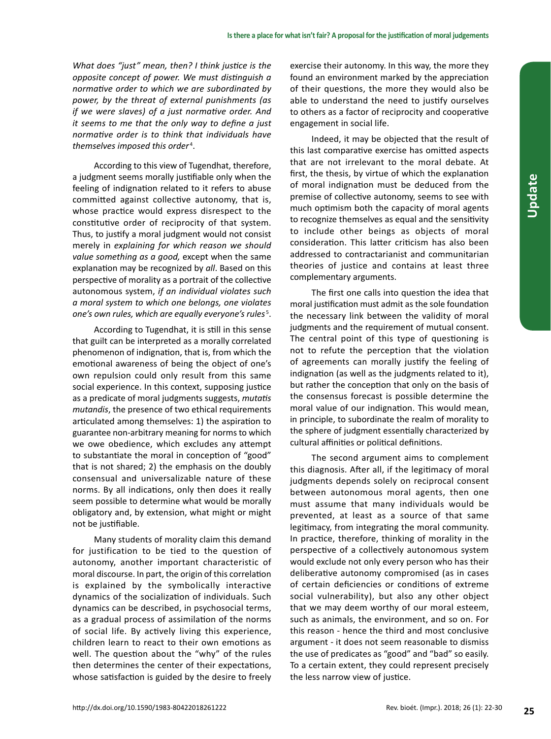*What does "just" mean, then? I think justice is the opposite concept of power. We must distinguish a normative order to which we are subordinated by power, by the threat of external punishments (as if we were slaves) of a just normative order. And it seems to me that the only way to define a just normative order is to think that individuals have*  themselves imposed this order<sup>4</sup>.

According to this view of Tugendhat, therefore, a judgment seems morally justifiable only when the feeling of indignation related to it refers to abuse committed against collective autonomy, that is, whose practice would express disrespect to the constitutive order of reciprocity of that system. Thus, to justify a moral judgment would not consist merely in *explaining for which reason we should value something as a good,* except when the same explanation may be recognized by *all*. Based on this perspective of morality as a portrait of the collective autonomous system, *if an individual violates such a moral system to which one belongs, one violates one's own rules, which are equally everyone's rules* <sup>5</sup> .

According to Tugendhat, it is still in this sense that guilt can be interpreted as a morally correlated phenomenon of indignation, that is, from which the emotional awareness of being the object of one's own repulsion could only result from this same social experience. In this context, supposing justice as a predicate of moral judgments suggests, *mutatis mutandis*, the presence of two ethical requirements articulated among themselves: 1) the aspiration to guarantee non-arbitrary meaning for norms to which we owe obedience, which excludes any attempt to substantiate the moral in conception of "good" that is not shared; 2) the emphasis on the doubly consensual and universalizable nature of these norms. By all indications, only then does it really seem possible to determine what would be morally obligatory and, by extension, what might or might not be justifiable.

Many students of morality claim this demand for justification to be tied to the question of autonomy, another important characteristic of moral discourse. In part, the origin of this correlation is explained by the symbolically interactive dynamics of the socialization of individuals. Such dynamics can be described, in psychosocial terms, as a gradual process of assimilation of the norms of social life. By actively living this experience, children learn to react to their own emotions as well. The question about the "why" of the rules then determines the center of their expectations, whose satisfaction is guided by the desire to freely

exercise their autonomy. In this way, the more they found an environment marked by the appreciation of their questions, the more they would also be able to understand the need to justify ourselves to others as a factor of reciprocity and cooperative engagement in social life.

Indeed, it may be objected that the result of this last comparative exercise has omitted aspects that are not irrelevant to the moral debate. At first, the thesis, by virtue of which the explanation of moral indignation must be deduced from the premise of collective autonomy, seems to see with much optimism both the capacity of moral agents to recognize themselves as equal and the sensitivity to include other beings as objects of moral consideration. This latter criticism has also been addressed to contractarianist and communitarian theories of justice and contains at least three complementary arguments.

The first one calls into question the idea that moral justification must admit as the sole foundation the necessary link between the validity of moral judgments and the requirement of mutual consent. The central point of this type of questioning is not to refute the perception that the violation of agreements can morally justify the feeling of indignation (as well as the judgments related to it), but rather the conception that only on the basis of the consensus forecast is possible determine the moral value of our indignation. This would mean, in principle, to subordinate the realm of morality to the sphere of judgment essentially characterized by cultural affinities or political definitions.

The second argument aims to complement this diagnosis. After all, if the legitimacy of moral judgments depends solely on reciprocal consent between autonomous moral agents, then one must assume that many individuals would be prevented, at least as a source of that same legitimacy, from integrating the moral community. In practice, therefore, thinking of morality in the perspective of a collectively autonomous system would exclude not only every person who has their deliberative autonomy compromised (as in cases of certain deficiencies or conditions of extreme social vulnerability), but also any other object that we may deem worthy of our moral esteem, such as animals, the environment, and so on. For this reason - hence the third and most conclusive argument - it does not seem reasonable to dismiss the use of predicates as "good" and "bad" so easily. To a certain extent, they could represent precisely the less narrow view of justice.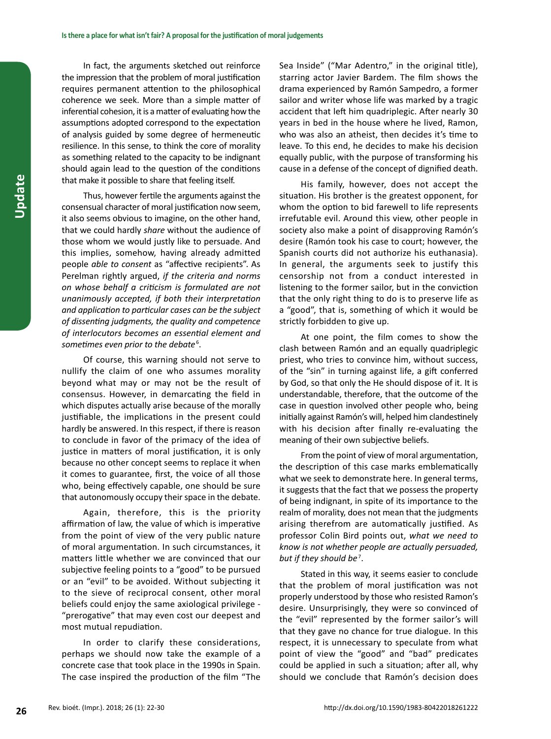In fact, the arguments sketched out reinforce the impression that the problem of moral justification requires permanent attention to the philosophical coherence we seek. More than a simple matter of inferential cohesion, it is a matter of evaluating how the assumptions adopted correspond to the expectation of analysis guided by some degree of hermeneutic resilience. In this sense, to think the core of morality as something related to the capacity to be indignant should again lead to the question of the conditions that make it possible to share that feeling itself.

Thus, however fertile the arguments against the consensual character of moral justification now seem, it also seems obvious to imagine, on the other hand, that we could hardly *share* without the audience of those whom we would justly like to persuade. And this implies, somehow, having already admitted people *able to consent* as "affective recipients". As Perelman rightly argued, *if the criteria and norms on whose behalf a criticism is formulated are not unanimously accepted, if both their interpretation and application to particular cases can be the subject of dissenting judgments, the quality and competence of interlocutors becomes an essential element and*  sometimes even prior to the debate<sup>6</sup>.

Of course, this warning should not serve to nullify the claim of one who assumes morality beyond what may or may not be the result of consensus. However, in demarcating the field in which disputes actually arise because of the morally justifiable, the implications in the present could hardly be answered. In this respect, if there is reason to conclude in favor of the primacy of the idea of justice in matters of moral justification, it is only because no other concept seems to replace it when it comes to guarantee, first, the voice of all those who, being effectively capable, one should be sure that autonomously occupy their space in the debate.

Again, therefore, this is the priority affirmation of law, the value of which is imperative from the point of view of the very public nature of moral argumentation. In such circumstances, it matters little whether we are convinced that our subjective feeling points to a "good" to be pursued or an "evil" to be avoided. Without subjecting it to the sieve of reciprocal consent, other moral beliefs could enjoy the same axiological privilege - "prerogative" that may even cost our deepest and most mutual repudiation.

In order to clarify these considerations, perhaps we should now take the example of a concrete case that took place in the 1990s in Spain. The case inspired the production of the film "The Sea Inside" ("Mar Adentro," in the original title), starring actor Javier Bardem. The film shows the drama experienced by Ramón Sampedro, a former sailor and writer whose life was marked by a tragic accident that left him quadriplegic. After nearly 30 years in bed in the house where he lived, Ramon, who was also an atheist, then decides it's time to leave. To this end, he decides to make his decision equally public, with the purpose of transforming his cause in a defense of the concept of dignified death.

His family, however, does not accept the situation. His brother is the greatest opponent, for whom the option to bid farewell to life represents irrefutable evil. Around this view, other people in society also make a point of disapproving Ramón's desire (Ramón took his case to court; however, the Spanish courts did not authorize his euthanasia). In general, the arguments seek to justify this censorship not from a conduct interested in listening to the former sailor, but in the conviction that the only right thing to do is to preserve life as a "good", that is, something of which it would be strictly forbidden to give up.

At one point, the film comes to show the clash between Ramón and an equally quadriplegic priest, who tries to convince him, without success, of the "sin" in turning against life, a gift conferred by God, so that only the He should dispose of it. It is understandable, therefore, that the outcome of the case in question involved other people who, being initially against Ramón's will, helped him clandestinely with his decision after finally re-evaluating the meaning of their own subjective beliefs.

From the point of view of moral argumentation, the description of this case marks emblematically what we seek to demonstrate here. In general terms, it suggests that the fact that we possess the property of being indignant, in spite of its importance to the realm of morality, does not mean that the judgments arising therefrom are automatically justified. As professor Colin Bird points out, *what we need to know is not whether people are actually persuaded,*  but if they should be<sup>7</sup>.

Stated in this way, it seems easier to conclude that the problem of moral justification was not properly understood by those who resisted Ramon's desire. Unsurprisingly, they were so convinced of the "evil" represented by the former sailor's will that they gave no chance for true dialogue. In this respect, it is unnecessary to speculate from what point of view the "good" and "bad" predicates could be applied in such a situation; after all, why should we conclude that Ramón's decision does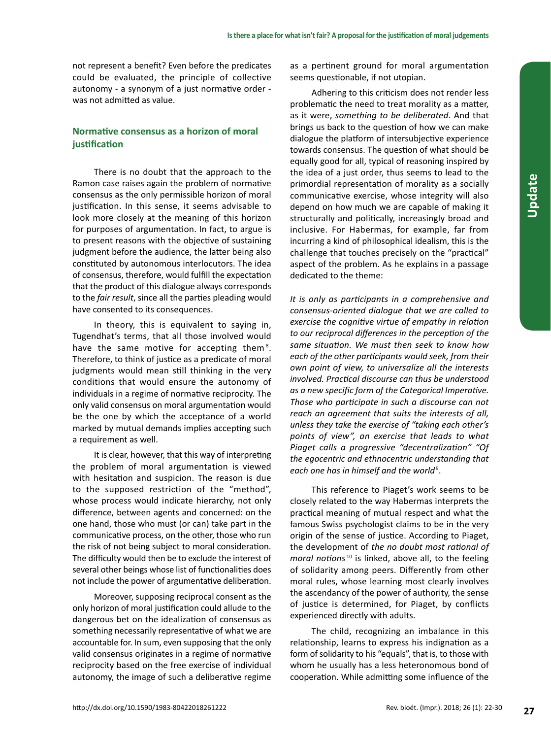not represent a benefit? Even before the predicates could be evaluated, the principle of collective autonomy - a synonym of a just normative order was not admitted as value.

## **Normative consensus as a horizon of moral justification**

There is no doubt that the approach to the Ramon case raises again the problem of normative consensus as the only permissible horizon of moral justification. In this sense, it seems advisable to look more closely at the meaning of this horizon for purposes of argumentation. In fact, to argue is to present reasons with the objective of sustaining judgment before the audience, the latter being also constituted by autonomous interlocutors. The idea of consensus, therefore, would fulfill the expectation that the product of this dialogue always corresponds to the *fair result*, since all the parties pleading would have consented to its consequences.

In theory, this is equivalent to saying in, Tugendhat's terms, that all those involved would have the same motive for accepting them<sup>8</sup>. Therefore, to think of justice as a predicate of moral judgments would mean still thinking in the very conditions that would ensure the autonomy of individuals in a regime of normative reciprocity. The only valid consensus on moral argumentation would be the one by which the acceptance of a world marked by mutual demands implies accepting such a requirement as well.

It is clear, however, that this way of interpreting the problem of moral argumentation is viewed with hesitation and suspicion. The reason is due to the supposed restriction of the "method", whose process would indicate hierarchy, not only difference, between agents and concerned: on the one hand, those who must (or can) take part in the communicative process, on the other, those who run the risk of not being subject to moral consideration. The difficulty would then be to exclude the interest of several other beings whose list of functionalities does not include the power of argumentative deliberation.

Moreover, supposing reciprocal consent as the only horizon of moral justification could allude to the dangerous bet on the idealization of consensus as something necessarily representative of what we are accountable for. In sum, even supposing that the only valid consensus originates in a regime of normative reciprocity based on the free exercise of individual autonomy, the image of such a deliberative regime

as a pertinent ground for moral argumentation seems questionable, if not utopian.

Adhering to this criticism does not render less problematic the need to treat morality as a matter, as it were, *something to be deliberated*. And that brings us back to the question of how we can make dialogue the platform of intersubjective experience towards consensus. The question of what should be equally good for all, typical of reasoning inspired by the idea of a just order, thus seems to lead to the primordial representation of morality as a socially communicative exercise, whose integrity will also depend on how much we are capable of making it structurally and politically, increasingly broad and inclusive. For Habermas, for example, far from incurring a kind of philosophical idealism, this is the challenge that touches precisely on the "practical" aspect of the problem. As he explains in a passage dedicated to the theme:

*It is only as participants in a comprehensive and consensus-oriented dialogue that we are called to exercise the cognitive virtue of empathy in relation to our reciprocal differences in the perception of the same situation. We must then seek to know how each of the other participants would seek, from their own point of view, to universalize all the interests involved. Practical discourse can thus be understood as a new specific form of the Categorical Imperative. Those who participate in such a discourse can not reach an agreement that suits the interests of all, unless they take the exercise of "taking each other's points of view", an exercise that leads to what Piaget calls a progressive "decentralization" "Of the egocentric and ethnocentric understanding that each one has in himself and the world*<sup>9</sup> .

This reference to Piaget's work seems to be closely related to the way Habermas interprets the practical meaning of mutual respect and what the famous Swiss psychologist claims to be in the very origin of the sense of justice. According to Piaget, the development of *the no doubt most rational of moral notions* <sup>10</sup> is linked, above all, to the feeling of solidarity among peers. Differently from other moral rules, whose learning most clearly involves the ascendancy of the power of authority, the sense of justice is determined, for Piaget, by conflicts experienced directly with adults.

The child, recognizing an imbalance in this relationship, learns to express his indignation as a form of solidarity to his "equals", that is, to those with whom he usually has a less heteronomous bond of cooperation. While admitting some influence of the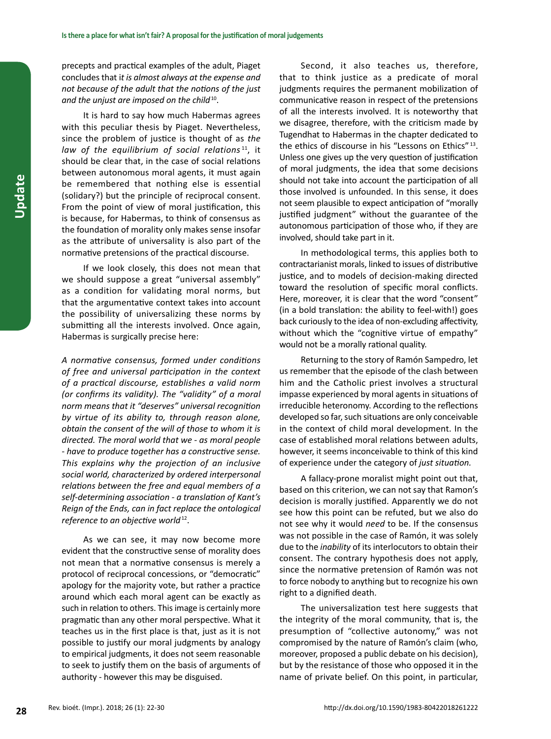precepts and practical examples of the adult, Piaget concludes that i*t is almost always at the expense and not because of the adult that the notions of the just and the unjust are imposed on the child*10.

It is hard to say how much Habermas agrees with this peculiar thesis by Piaget. Nevertheless, since the problem of justice is thought of as *the law of the equilibrium of social relations* <sup>11</sup>, it should be clear that, in the case of social relations between autonomous moral agents, it must again be remembered that nothing else is essential (solidary?) but the principle of reciprocal consent. From the point of view of moral justification, this is because, for Habermas, to think of consensus as the foundation of morality only makes sense insofar as the attribute of universality is also part of the normative pretensions of the practical discourse.

If we look closely, this does not mean that we should suppose a great "universal assembly" as a condition for validating moral norms, but that the argumentative context takes into account the possibility of universalizing these norms by submitting all the interests involved. Once again, Habermas is surgically precise here:

*A normative consensus, formed under conditions of free and universal participation in the context of a practical discourse, establishes a valid norm (or confirms its validity). The "validity" of a moral norm means that it "deserves" universal recognition by virtue of its ability to, through reason alone, obtain the consent of the will of those to whom it is directed. The moral world that we - as moral people - have to produce together has a constructive sense. This explains why the projection of an inclusive social world, characterized by ordered interpersonal relations between the free and equal members of a self-determining association - a translation of Kant's Reign of the Ends, can in fact replace the ontological reference to an objective world*<sup>12</sup>.

As we can see, it may now become more evident that the constructive sense of morality does not mean that a normative consensus is merely a protocol of reciprocal concessions, or "democratic" apology for the majority vote, but rather a practice around which each moral agent can be exactly as such in relation to others. This image is certainly more pragmatic than any other moral perspective. What it teaches us in the first place is that, just as it is not possible to justify our moral judgments by analogy to empirical judgments, it does not seem reasonable to seek to justify them on the basis of arguments of authority - however this may be disguised.

Second, it also teaches us, therefore, that to think justice as a predicate of moral judgments requires the permanent mobilization of communicative reason in respect of the pretensions of all the interests involved. It is noteworthy that we disagree, therefore, with the criticism made by Tugendhat to Habermas in the chapter dedicated to the ethics of discourse in his "Lessons on Ethics" 13. Unless one gives up the very question of justification of moral judgments, the idea that some decisions should not take into account the participation of all those involved is unfounded. In this sense, it does not seem plausible to expect anticipation of "morally justified judgment" without the guarantee of the autonomous participation of those who, if they are involved, should take part in it.

In methodological terms, this applies both to contractarianist morals, linked to issues of distributive justice, and to models of decision-making directed toward the resolution of specific moral conflicts. Here, moreover, it is clear that the word "consent" (in a bold translation: the ability to feel-with!) goes back curiously to the idea of non-excluding affectivity, without which the "cognitive virtue of empathy" would not be a morally rational quality.

Returning to the story of Ramón Sampedro, let us remember that the episode of the clash between him and the Catholic priest involves a structural impasse experienced by moral agents in situations of irreducible heteronomy. According to the reflections developed so far, such situations are only conceivable in the context of child moral development. In the case of established moral relations between adults, however, it seems inconceivable to think of this kind of experience under the category of *just situation.*

A fallacy-prone moralist might point out that, based on this criterion, we can not say that Ramon's decision is morally justified. Apparently we do not see how this point can be refuted, but we also do not see why it would *need* to be. If the consensus was not possible in the case of Ramón, it was solely due to the *inability* of its interlocutors to obtain their consent. The contrary hypothesis does not apply, since the normative pretension of Ramón was not to force nobody to anything but to recognize his own right to a dignified death.

The universalization test here suggests that the integrity of the moral community, that is, the presumption of "collective autonomy," was not compromised by the nature of Ramón's claim (who, moreover, proposed a public debate on his decision), but by the resistance of those who opposed it in the name of private belief. On this point, in particular,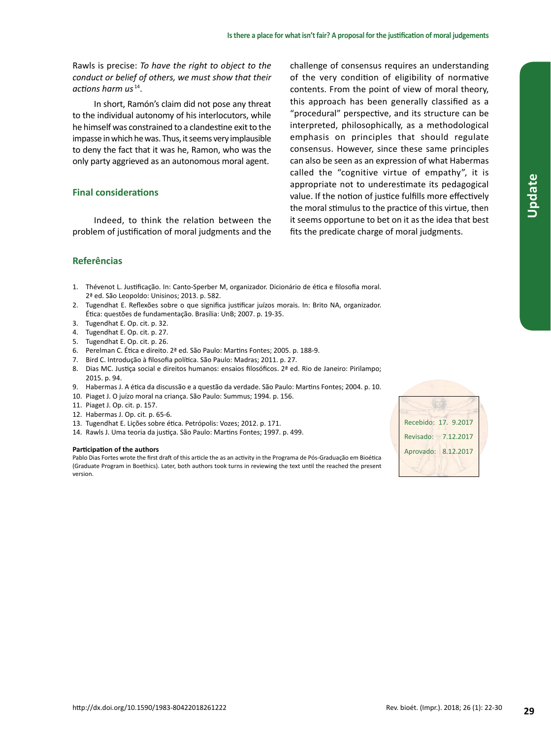Rawls is precise: *To have the right to object to the conduct or belief of others, we must show that their actions harm us* <sup>14</sup>.

In short, Ramón's claim did not pose any threat to the individual autonomy of his interlocutors, while he himself was constrained to a clandestine exit to the impasse in which he was. Thus, it seems very implausible to deny the fact that it was he, Ramon, who was the only party aggrieved as an autonomous moral agent.

## **Final considerations**

Indeed, to think the relation between the problem of justification of moral judgments and the challenge of consensus requires an understanding of the very condition of eligibility of normative contents. From the point of view of moral theory, this approach has been generally classified as a "procedural" perspective, and its structure can be interpreted, philosophically, as a methodological emphasis on principles that should regulate consensus. However, since these same principles can also be seen as an expression of what Habermas called the "cognitive virtue of empathy", it is appropriate not to underestimate its pedagogical value. If the notion of justice fulfills more effectively the moral stimulus to the practice of this virtue, then it seems opportune to bet on it as the idea that best fits the predicate charge of moral judgments.

## **Referências**

- 1. Thévenot L. Justificação. In: Canto-Sperber M, organizador. Dicionário de ética e filosofia moral. 2ª ed. São Leopoldo: Unisinos; 2013. p. 582.
- 2. Tugendhat E. Reflexões sobre o que significa justificar juízos morais. In: Brito NA, organizador. Ética: questões de fundamentação. Brasília: UnB; 2007. p. 19-35.
- 3. Tugendhat E. Op. cit. p. 32.
- 4. Tugendhat E. Op. cit. p. 27.
- 5. Tugendhat E. Op. cit. p. 26.
- 6. Perelman C. Ética e direito. 2ª ed. São Paulo: Martins Fontes; 2005. p. 188-9.
- 7. Bird C. Introdução à filosofia política. São Paulo: Madras; 2011. p. 27.
- 8. Dias MC. Justiça social e direitos humanos: ensaios filosóficos. 2ª ed. Rio de Janeiro: Pirilampo; 2015. p. 94.
- 9. Habermas J. A ética da discussão e a questão da verdade. São Paulo: Martins Fontes; 2004. p. 10.
- 10. Piaget J. O juízo moral na criança. São Paulo: Summus; 1994. p. 156.
- 11. Piaget J. Op. cit. p. 157.
- 12. Habermas J. Op. cit. p. 65-6.
- 13. Tugendhat E. Lições sobre ética. Petrópolis: Vozes; 2012. p. 171.
- 14. Rawls J. Uma teoria da justiça. São Paulo: Martins Fontes; 1997. p. 499.

#### **Participation of the authors**

Pablo Dias Fortes wrote the first draft of this article the as an activity in the Programa de Pós-Graduação em Bioética (Graduate Program in Boethics). Later, both authors took turns in reviewing the text until the reached the present version.